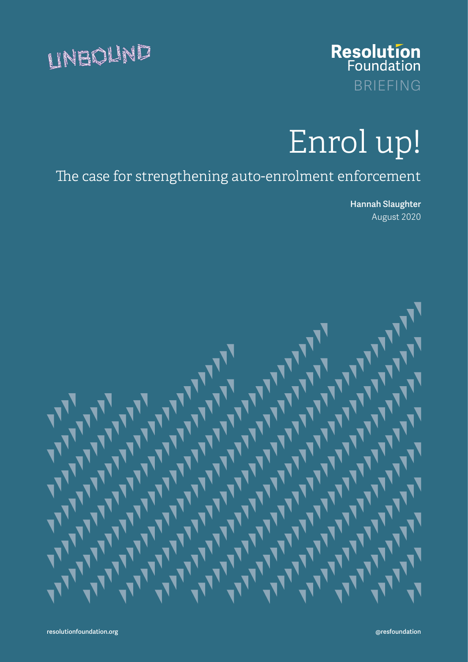



# Enrol up!

The case for strengthening auto-enrolment enforcement

 Hannah Slaughter August 2020

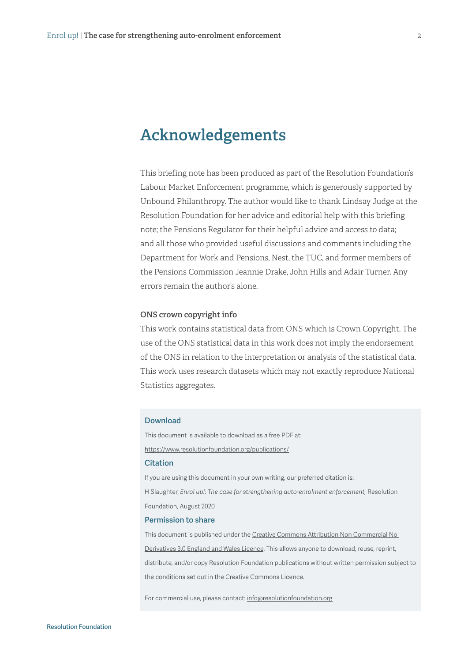# **Acknowledgements**

This briefing note has been produced as part of the Resolution Foundation's Labour Market Enforcement programme, which is generously supported by Unbound Philanthropy. The author would like to thank Lindsay Judge at the Resolution Foundation for her advice and editorial help with this briefing note; the Pensions Regulator for their helpful advice and access to data; and all those who provided useful discussions and comments including the Department for Work and Pensions, Nest, the TUC, and former members of the Pensions Commission Jeannie Drake, John Hills and Adair Turner. Any errors remain the author's alone.

#### **ONS crown copyright info**

This work contains statistical data from ONS which is Crown Copyright. The use of the ONS statistical data in this work does not imply the endorsement of the ONS in relation to the interpretation or analysis of the statistical data. This work uses research datasets which may not exactly reproduce National Statistics aggregates.

#### Download

This document is available to download as a free PDF at: https://www.resolutionfoundation.org/publications/ **Citation** If you are using this document in your own writing, our preferred citation is: H Slaughter, *Enrol up!: The case for strengthening auto-enrolment enforcement,* Resolution Foundation, August 2020

#### Permission to share

This document is published under the [Creative Commons Attribution Non Commercial No](https://creativecommons.org/licenses/by-nc-nd/3.0/)  [Derivatives 3.0 England and Wales Licence](https://creativecommons.org/licenses/by-nc-nd/3.0/). This allows anyone to download, reuse, reprint, distribute, and/or copy Resolution Foundation publications without written permission subject to the conditions set out in the Creative Commons Licence.

For commercial use, please contact: [info@resolutionfoundation.org](mailto:info%40resolutionfoundation.org?subject=)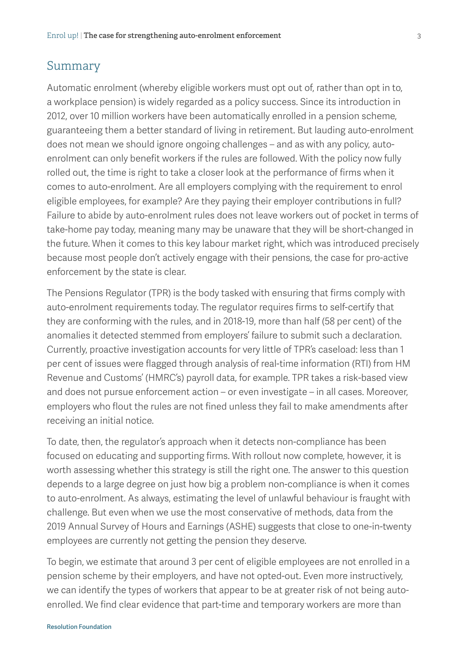#### Summary

Automatic enrolment (whereby eligible workers must opt out of, rather than opt in to, a workplace pension) is widely regarded as a policy success. Since its introduction in 2012, over 10 million workers have been automatically enrolled in a pension scheme, guaranteeing them a better standard of living in retirement. But lauding auto-enrolment does not mean we should ignore ongoing challenges – and as with any policy, autoenrolment can only benefit workers if the rules are followed. With the policy now fully rolled out, the time is right to take a closer look at the performance of firms when it comes to auto-enrolment. Are all employers complying with the requirement to enrol eligible employees, for example? Are they paying their employer contributions in full? Failure to abide by auto-enrolment rules does not leave workers out of pocket in terms of take-home pay today, meaning many may be unaware that they will be short-changed in the future. When it comes to this key labour market right, which was introduced precisely because most people don't actively engage with their pensions, the case for pro-active enforcement by the state is clear.

The Pensions Regulator (TPR) is the body tasked with ensuring that firms comply with auto-enrolment requirements today. The regulator requires firms to self-certify that they are conforming with the rules, and in 2018-19, more than half (58 per cent) of the anomalies it detected stemmed from employers' failure to submit such a declaration. Currently, proactive investigation accounts for very little of TPR's caseload: less than 1 per cent of issues were flagged through analysis of real-time information (RTI) from HM Revenue and Customs' (HMRC's) payroll data, for example. TPR takes a risk-based view and does not pursue enforcement action – or even investigate – in all cases. Moreover, employers who flout the rules are not fined unless they fail to make amendments after receiving an initial notice.

To date, then, the regulator's approach when it detects non-compliance has been focused on educating and supporting firms. With rollout now complete, however, it is worth assessing whether this strategy is still the right one. The answer to this question depends to a large degree on just how big a problem non-compliance is when it comes to auto-enrolment. As always, estimating the level of unlawful behaviour is fraught with challenge. But even when we use the most conservative of methods, data from the 2019 Annual Survey of Hours and Earnings (ASHE) suggests that close to one-in-twenty employees are currently not getting the pension they deserve.

To begin, we estimate that around 3 per cent of eligible employees are not enrolled in a pension scheme by their employers, and have not opted-out. Even more instructively, we can identify the types of workers that appear to be at greater risk of not being autoenrolled. We find clear evidence that part-time and temporary workers are more than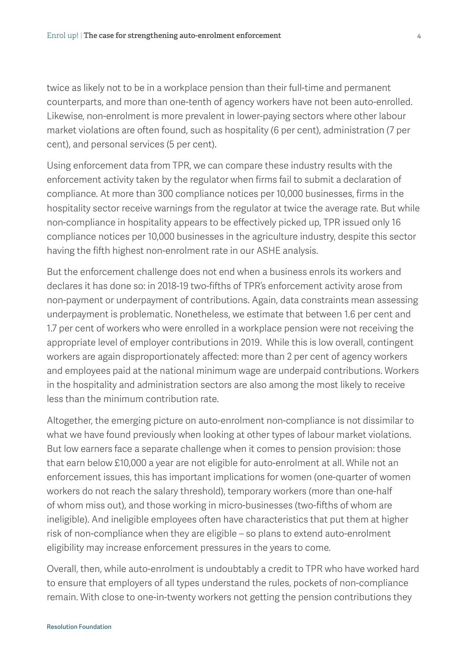twice as likely not to be in a workplace pension than their full-time and permanent counterparts, and more than one-tenth of agency workers have not been auto-enrolled. Likewise, non-enrolment is more prevalent in lower-paying sectors where other labour market violations are often found, such as hospitality (6 per cent), administration (7 per cent), and personal services (5 per cent).

Using enforcement data from TPR, we can compare these industry results with the enforcement activity taken by the regulator when firms fail to submit a declaration of compliance. At more than 300 compliance notices per 10,000 businesses, firms in the hospitality sector receive warnings from the regulator at twice the average rate. But while non-compliance in hospitality appears to be effectively picked up, TPR issued only 16 compliance notices per 10,000 businesses in the agriculture industry, despite this sector having the fifth highest non-enrolment rate in our ASHE analysis.

But the enforcement challenge does not end when a business enrols its workers and declares it has done so: in 2018-19 two-fifths of TPR's enforcement activity arose from non-payment or underpayment of contributions. Again, data constraints mean assessing underpayment is problematic. Nonetheless, we estimate that between 1.6 per cent and 1.7 per cent of workers who were enrolled in a workplace pension were not receiving the appropriate level of employer contributions in 2019. While this is low overall, contingent workers are again disproportionately affected: more than 2 per cent of agency workers and employees paid at the national minimum wage are underpaid contributions. Workers in the hospitality and administration sectors are also among the most likely to receive less than the minimum contribution rate.

Altogether, the emerging picture on auto-enrolment non-compliance is not dissimilar to what we have found previously when looking at other types of labour market violations. But low earners face a separate challenge when it comes to pension provision: those that earn below £10,000 a year are not eligible for auto-enrolment at all. While not an enforcement issues, this has important implications for women (one-quarter of women workers do not reach the salary threshold), temporary workers (more than one-half of whom miss out), and those working in micro-businesses (two-fifths of whom are ineligible). And ineligible employees often have characteristics that put them at higher risk of non-compliance when they are eligible – so plans to extend auto-enrolment eligibility may increase enforcement pressures in the years to come.

Overall, then, while auto-enrolment is undoubtably a credit to TPR who have worked hard to ensure that employers of all types understand the rules, pockets of non-compliance remain. With close to one-in-twenty workers not getting the pension contributions they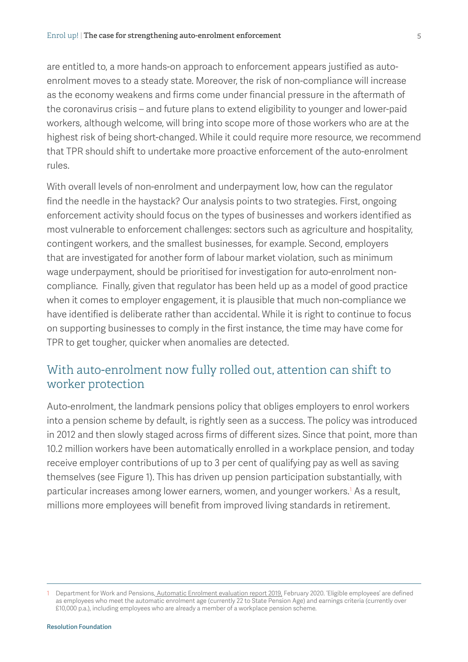are entitled to, a more hands-on approach to enforcement appears justified as autoenrolment moves to a steady state. Moreover, the risk of non-compliance will increase as the economy weakens and firms come under financial pressure in the aftermath of the coronavirus crisis – and future plans to extend eligibility to younger and lower-paid workers, although welcome, will bring into scope more of those workers who are at the highest risk of being short-changed. While it could require more resource, we recommend that TPR should shift to undertake more proactive enforcement of the auto-enrolment rules.

With overall levels of non-enrolment and underpayment low, how can the regulator find the needle in the haystack? Our analysis points to two strategies. First, ongoing enforcement activity should focus on the types of businesses and workers identified as most vulnerable to enforcement challenges: sectors such as agriculture and hospitality, contingent workers, and the smallest businesses, for example. Second, employers that are investigated for another form of labour market violation, such as minimum wage underpayment, should be prioritised for investigation for auto-enrolment noncompliance. Finally, given that regulator has been held up as a model of good practice when it comes to employer engagement, it is plausible that much non-compliance we have identified is deliberate rather than accidental. While it is right to continue to focus on supporting businesses to comply in the first instance, the time may have come for TPR to get tougher, quicker when anomalies are detected.

# With auto-enrolment now fully rolled out, attention can shift to worker protection

Auto-enrolment, the landmark pensions policy that obliges employers to enrol workers into a pension scheme by default, is rightly seen as a success. The policy was introduced in 2012 and then slowly staged across firms of different sizes. Since that point, more than 10.2 million workers have been automatically enrolled in a workplace pension, and today receive employer contributions of up to 3 per cent of qualifying pay as well as saving themselves (see [Figure 1](#page-4-0)). This has driven up pension participation substantially, with particular increases among lower earners, women, and younger workers.<sup>1</sup> As a result, millions more employees will benefit from improved living standards in retirement.

<span id="page-4-0"></span><sup>1</sup> Department for Work and Pensions, [Automatic Enrolment evaluation report 2019,](https://www.gov.uk/government/publications/automatic-enrolment-evaluation-report-2019) February 2020. 'Eligible employees' are defined as employees who meet the automatic enrolment age (currently 22 to State Pension Age) and earnings criteria (currently over £10,000 p.a.), including employees who are already a member of a workplace pension scheme.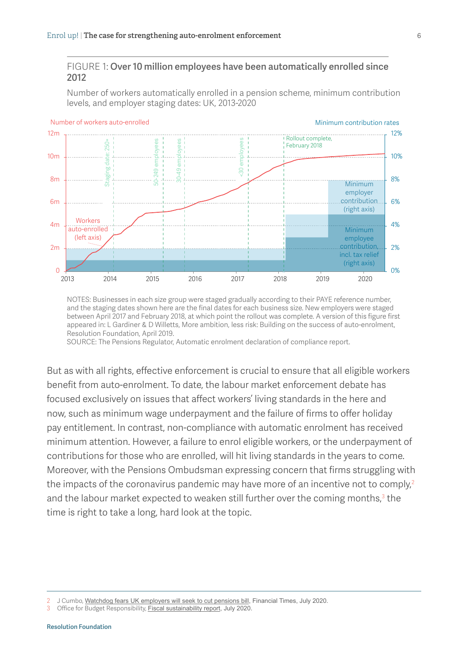#### FIGURE 1: Over 10 million employees have been automatically enrolled since 2012

Number of workers automatically enrolled in a pension scheme, minimum contribution levels, and employer staging dates: UK, 2013-2020



NOTES: Businesses in each size group were staged gradually according to their PAYE reference number, and the staging dates shown here are the final dates for each business size. New employers were staged between April 2017 and February 2018, at which point the rollout was complete. A version of this figure first appeared in: L Gardiner & D Willetts, More ambition, less risk: Building on the success of auto-enrolment, Resolution Foundation, April 2019.

SOURCE: The Pensions Regulator, Automatic enrolment declaration of compliance report.

But as with all rights, effective enforcement is crucial to ensure that all eligible workers benefit from auto-enrolment. To date, the labour market enforcement debate has focused exclusively on issues that affect workers' living standards in the here and now, such as minimum wage underpayment and the failure of firms to offer holiday pay entitlement. In contrast, non-compliance with automatic enrolment has received minimum attention. However, a failure to enrol eligible workers, or the underpayment of contributions for those who are enrolled, will hit living standards in the years to come. Moreover, with the Pensions Ombudsman expressing concern that firms struggling with the impacts of the coronavirus pandemic may have more of an incentive not to comply,<sup>2</sup> and the labour market expected to weaken still further over the coming months,<sup>3</sup> the time is right to take a long, hard look at the topic.

<sup>2</sup> J Cumbo, [Watchdog fears UK employers will seek to cut pensions bill,](https://www.ft.com/content/c3680bdb-029a-4a24-ae87-d2eb9af8fca8) Financial Times, July 2020.<br>3 Office for Budget Responsibility Fiscal sustainability report July 2020

Office for Budget Responsibility, [Fiscal sustainability report](https://obr.uk/fsr/fiscal-sustainability-report-july-2020/), July 2020.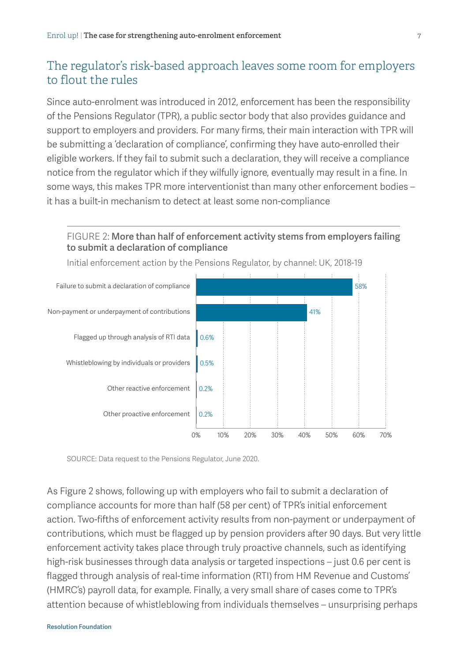# The regulator's risk-based approach leaves some room for employers to flout the rules

Since auto-enrolment was introduced in 2012, enforcement has been the responsibility of the Pensions Regulator (TPR), a public sector body that also provides guidance and support to employers and providers. For many firms, their main interaction with TPR will be submitting a 'declaration of compliance', confirming they have auto-enrolled their eligible workers. If they fail to submit such a declaration, they will receive a compliance notice from the regulator which if they wilfully ignore, eventually may result in a fine. In some ways, this makes TPR more interventionist than many other enforcement bodies – it has a built-in mechanism to detect at least some non-compliance

#### <span id="page-6-0"></span>FIGURE 2: More than half of enforcement activity stems from employers failing to submit a declaration of compliance



Initial enforcement action by the Pensions Regulator, by channel: UK, 2018-19

SOURCE: Data request to the Pensions Regulator, June 2020.

As [Figure 2](#page-6-0) shows, following up with employers who fail to submit a declaration of compliance accounts for more than half (58 per cent) of TPR's initial enforcement action. Two-fifths of enforcement activity results from non-payment or underpayment of contributions, which must be flagged up by pension providers after 90 days. But very little enforcement activity takes place through truly proactive channels, such as identifying high-risk businesses through data analysis or targeted inspections – just 0.6 per cent is flagged through analysis of real-time information (RTI) from HM Revenue and Customs' (HMRC's) payroll data, for example. Finally, a very small share of cases come to TPR's attention because of whistleblowing from individuals themselves – unsurprising perhaps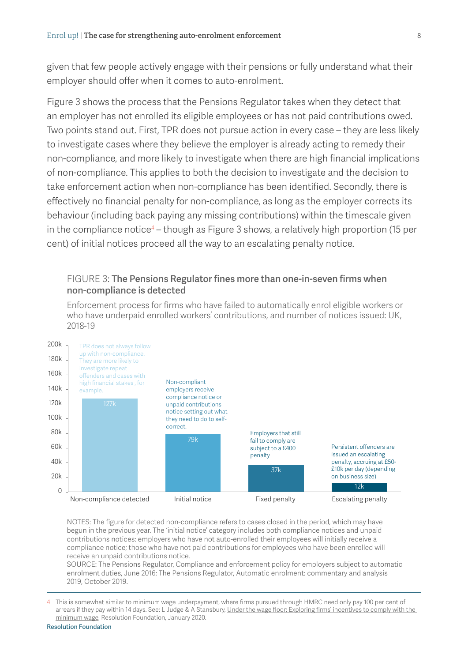given that few people actively engage with their pensions or fully understand what their employer should offer when it comes to auto-enrolment.

[Figure 3](#page-7-0) shows the process that the Pensions Regulator takes when they detect that an employer has not enrolled its eligible employees or has not paid contributions owed. Two points stand out. First, TPR does not pursue action in every case – they are less likely to investigate cases where they believe the employer is already acting to remedy their non-compliance, and more likely to investigate when there are high financial implications of non-compliance. This applies to both the decision to investigate and the decision to take enforcement action when non-compliance has been identified. Secondly, there is effectively no financial penalty for non-compliance, as long as the employer corrects its behaviour (including back paying any missing contributions) within the timescale given in the compliance notice<sup>4</sup> – though as [Figure 3](#page-7-0) shows, a relatively high proportion (15 per cent) of initial notices proceed all the way to an escalating penalty notice.

#### <span id="page-7-0"></span>FIGURE 3: The Pensions Regulator fines more than one-in-seven firms when non-compliance is detected

Enforcement process for firms who have failed to automatically enrol eligible workers or who have underpaid enrolled workers' contributions, and number of notices issued: UK, 2018-19



NOTES: The figure for detected non-compliance refers to cases closed in the period, which may have begun in the previous year. The 'initial notice' category includes both compliance notices and unpaid contributions notices: employers who have not auto-enrolled their employees will initially receive a compliance notice; those who have not paid contributions for employees who have been enrolled will receive an unpaid contributions notice.

SOURCE: The Pensions Regulator, Compliance and enforcement policy for employers subject to automatic enrolment duties, June 2016; The Pensions Regulator, Automatic enrolment: commentary and analysis 2019, October 2019.

4 This is somewhat similar to minimum wage underpayment, where firms pursued through HMRC need only pay 100 per cent of arrears if they pay within 14 days. See: L Judge & A Stansbury, [Under the wage floor: Exploring firms' incentives to comply with the](https://www.resolutionfoundation.org/publications/under-the-wage-floor/)  [minimum wage](https://www.resolutionfoundation.org/publications/under-the-wage-floor/), Resolution Foundation, January 2020.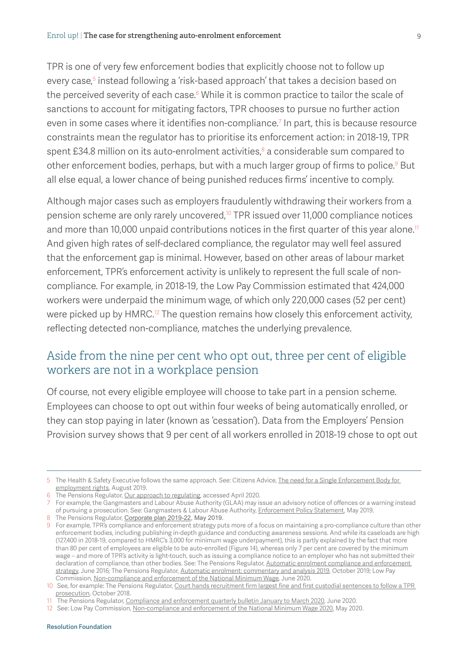TPR is one of very few enforcement bodies that explicitly choose not to follow up every case,<sup>5</sup> instead following a 'risk-based approach' that takes a decision based on the perceived severity of each case. $^{\circ}$  While it is common practice to tailor the scale of sanctions to account for mitigating factors, TPR chooses to pursue no further action even in some cases where it identifies non-compliance.<sup>7</sup> In part, this is because resource constraints mean the regulator has to prioritise its enforcement action: in 2018-19, TPR spent £34.8 million on its auto-enrolment activities, ${}^{8}$  a considerable sum compared to other enforcement bodies, perhaps, but with a much larger group of firms to police.<sup>9</sup> But all else equal, a lower chance of being punished reduces firms' incentive to comply.

Although major cases such as employers fraudulently withdrawing their workers from a pension scheme are only rarely uncovered,<sup>10</sup> TPR issued over 11,000 compliance notices and more than 10,000 unpaid contributions notices in the first quarter of this year alone.<sup>11</sup> And given high rates of self-declared compliance, the regulator may well feel assured that the enforcement gap is minimal. However, based on other areas of labour market enforcement, TPR's enforcement activity is unlikely to represent the full scale of noncompliance. For example, in 2018-19, the Low Pay Commission estimated that 424,000 workers were underpaid the minimum wage, of which only 220,000 cases (52 per cent) were picked up by HMRC.<sup>12</sup> The question remains how closely this enforcement activity, reflecting detected non-compliance, matches the underlying prevalence.

### Aside from the nine per cent who opt out, three per cent of eligible workers are not in a workplace pension

Of course, not every eligible employee will choose to take part in a pension scheme. Employees can choose to opt out within four weeks of being automatically enrolled, or they can stop paying in later (known as 'cessation'). Data from the Employers' Pension Provision survey shows that 9 per cent of all workers enrolled in 2018-19 chose to opt out

#### Resolution Foundation

<sup>5</sup> The Health & Safety Executive follows the same approach. See: Citizens Advice, [The need for a Single Enforcement Body for](https://www.citizensadvice.org.uk/about-us/policy/policy-research-topics/work-policy-research-surveys-and-consultation-responses/work-policy-research/enforcement-briefing/)  [employment rights](https://www.citizensadvice.org.uk/about-us/policy/policy-research-topics/work-policy-research-surveys-and-consultation-responses/work-policy-research/enforcement-briefing/), August 2019.

<sup>6</sup> The Pensions Regulator, [Our approach to regulating,](https://www.thepensionsregulator.gov.uk/en/about-us/how-we-regulate-and-enforce/our-approach-to-regulating) accessed April 2020.

<sup>7</sup> For example, the Gangmasters and Labour Abuse Authority (GLAA) may issue an advisory notice of offences or a warning instead of pursuing a prosecution. See: Gangmasters & Labour Abuse Authority, [Enforcement Policy Statement,](https://www.gla.gov.uk/media/4797/enforcement-policy-statement-v40-080519.pdf) May 2019.

<sup>8</sup> The Pensions Regulator, [Corporate plan 2019-22,](https://www.thepensionsregulator.gov.uk/en/document-library/corporate-information/corporate-plans/corporate-plan-2019-2022) May 2019.

<sup>9</sup> For example, TPR's compliance and enforcement strategy puts more of a focus on maintaining a pro-compliance culture than other enforcement bodies, including publishing in-depth guidance and conducting awareness sessions. And while its caseloads are high (127,400 in 2018-19, compared to HMRC's 3,000 for minimum wage underpayment), this is partly explained by the fact that more than 80 per cent of employees are eligible to be auto-enrolled ([Figure 14](#page-24-0)), whereas only 7 per cent are covered by the minimum wage – and more of TPR's activity is light-touch, such as issuing a compliance notice to an employer who has not submitted their declaration of compliance, than other bodies. See: The Pensions Regulator, Automatic enrolment compliance and enforcement strategy, June 2016; The Pensions Regulator, Automatic enrolment: commentary and analysis 2019, October 2019; Low Pay Commission, [Non-compliance and enforcement of the National Minimum Wage,](https://www.gov.uk/government/publications/non-compliance-and-enforcement-of-the-national-minimum-wage) June 2020.

<sup>10</sup> See, for example: The Pensions Regulator, Court hands recruitment firm largest fine and first custodial sentences to follow a TPR [prosecution](https://www.thepensionsregulator.gov.uk/en/media-hub/press-releases/court-hands-recruitment-firm-largest-fine-and-first-custodial-sentences-to-follow-a-tpr-prosecution), October 2018.

<sup>11</sup> The Pensions Regulator, [Compliance and enforcement quarterly bulletin January to March 2020,](https://www.thepensionsregulator.gov.uk/en/document-library/enforcement-activity/enforcement-bulletins/compliance-and-enforcement-quarterly-bulletin-january-to-march-2020) June 2020.

<sup>12</sup> See: Low Pay Commission, [Non-compliance and enforcement of the National Minimum Wage 2020,](https://www.gov.uk/government/publications/non-compliance-and-enforcement-of-the-national-minimum-wage) May 2020.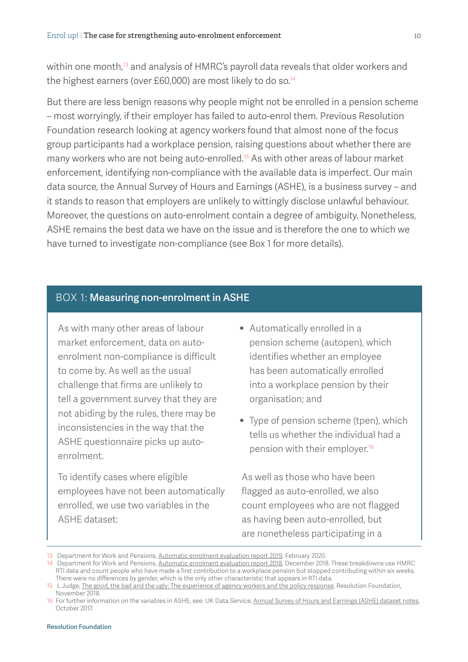within one month,<sup>13</sup> and analysis of HMRC's payroll data reveals that older workers and the highest earners (over £60,000) are most likely to do so.<sup>14</sup>

But there are less benign reasons why people might not be enrolled in a pension scheme – most worryingly, if their employer has failed to auto-enrol them. Previous Resolution Foundation research looking at agency workers found that almost none of the focus group participants had a workplace pension, raising questions about whether there are many workers who are not being auto-enrolled.15 As with other areas of labour market enforcement, identifying non-compliance with the available data is imperfect. Our main data source, the Annual Survey of Hours and Earnings (ASHE), is a business survey – and it stands to reason that employers are unlikely to wittingly disclose unlawful behaviour. Moreover, the questions on auto-enrolment contain a degree of ambiguity. Nonetheless, ASHE remains the best data we have on the issue and is therefore the one to which we have turned to investigate non-compliance (see Box 1 for more details).

#### <span id="page-9-0"></span>BOX 1: Measuring non-enrolment in ASHE

As with many other areas of labour market enforcement, data on autoenrolment non-compliance is difficult to come by. As well as the usual challenge that firms are unlikely to tell a government survey that they are not abiding by the rules, there may be inconsistencies in the way that the ASHE questionnaire picks up autoenrolment.

To identify cases where eligible employees have not been automatically enrolled, we use two variables in the ASHE dataset:

- Automatically enrolled in a pension scheme (autopen), which identifies whether an employee has been automatically enrolled into a workplace pension by their organisation; and
- Type of pension scheme (tpen), which tells us whether the individual had a pension with their employer.16

As well as those who have been flagged as auto-enrolled, we also count employees who are not flagged as having been auto-enrolled, but are nonetheless participating in a

<sup>13</sup> Department for Work and Pensions, [Automatic enrolment evaluation report 2019](https://assets.publishing.service.gov.uk/government/uploads/system/uploads/attachment_data/file/867634/automatic-enrolment-evaluation-report-2019.pdf), February 2020.

<sup>14</sup> Department for Work and Pensions, [Automatic enrolment evaluation report 2018](https://assets.publishing.service.gov.uk/government/uploads/system/uploads/attachment_data/file/764964/Automatic_Enrolment_Evaluation_Report_2018.pdf), December 2018. These breakdowns use HMRC RTI data and count people who have made a first contribution to a workplace pension but stopped contributing within six weeks. There were no differences by gender, which is the only other characteristic that appears in RTI data.

<sup>15</sup> L Judge, [The good, the bad and the ugly: The experience of agency workers and the policy response,](https://www.resolutionfoundation.org/app/uploads/2018/11/The-good-the-bad-and-the-ugly.pdf) Resolution Foundation, November 2018.

<sup>16</sup> For further information on the variables in ASHE, see: UK Data Service, [Annual Survey of Hours and Earnings \(ASHE\) dataset notes,](http://doc.ukdataservice.ac.uk/doc/6689/mrdoc/pdf/6689_userguide_2017.pdf) October 2017.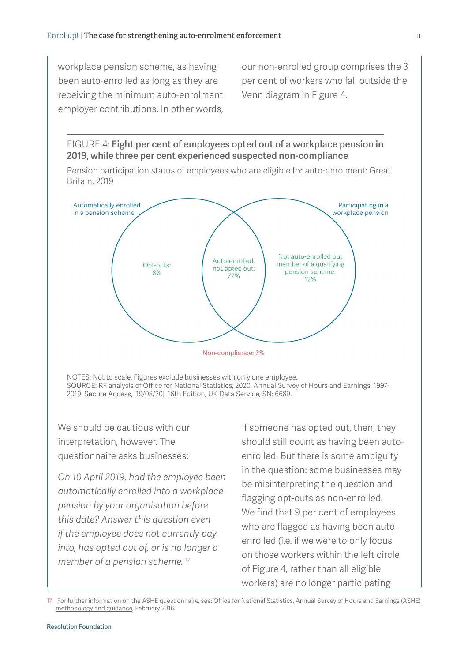workplace pension scheme, as having been auto-enrolled as long as they are receiving the minimum auto-enrolment employer contributions. In other words, our non-enrolled group comprises the 3 per cent of workers who fall outside the Venn diagram in [Figure 4](#page-10-0).

<span id="page-10-0"></span>FIGURE 4: Eight per cent of employees opted out of a workplace pension in 2019, while three per cent experienced suspected non-compliance

Pension participation status of employees who are eligible for auto-enrolment: Great Britain, 2019



NOTES: Not to scale. Figures exclude businesses with only one employee. SOURCE: RF analysis of Office for National Statistics, 2020, [Annual Survey of Hours and Earnings, 1997-](http://doi.org/10.5255/UKDA-SN-6689-15) [2019: Secure Access,](http://doi.org/10.5255/UKDA-SN-6689-15) [19/08/20], 16th Edition, UK Data Service, SN: 6689.

We should be cautious with our interpretation, however. The questionnaire asks businesses:

*On 10 April 2019, had the employee been automatically enrolled into a workplace pension by your organisation before this date? Answer this question even if the employee does not currently pay into, has opted out of, or is no longer a member of a pension scheme.* <sup>17</sup>

If someone has opted out, then, they should still count as having been autoenrolled. But there is some ambiguity in the question: some businesses may be misinterpreting the question and flagging opt-outs as non-enrolled. We find that 9 per cent of employees who are flagged as having been autoenrolled (i.e. if we were to only focus on those workers within the left circle of [Figure 4,](#page-10-0) rather than all eligible workers) are no longer participating

17 For further information on the ASHE questionnaire, see: Office for National Statistics, [Annual Survey of Hours and Earnings \(ASHE\)](https://www.ons.gov.uk/employmentandlabourmarket/peopleinwork/earningsandworkinghours/methodologies/annualsurveyofhoursandearningsashemethodologyandguidance)  [methodology and guidance](https://www.ons.gov.uk/employmentandlabourmarket/peopleinwork/earningsandworkinghours/methodologies/annualsurveyofhoursandearningsashemethodologyandguidance), February 2016.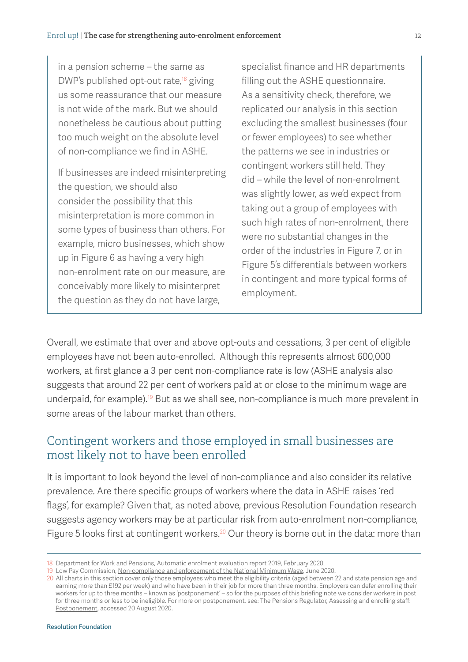in a pension scheme – the same as DWP's published opt-out rate, $18$  giving us some reassurance that our measure is not wide of the mark. But we should nonetheless be cautious about putting too much weight on the absolute level of non-compliance we find in ASHE.

If businesses are indeed misinterpreting the question, we should also consider the possibility that this misinterpretation is more common in some types of business than others. For example, micro businesses, which show up in [Figure 6](#page-13-0) as having a very high non-enrolment rate on our measure, are conceivably more likely to misinterpret the question as they do not have large,

specialist finance and HR departments filling out the ASHE questionnaire. As a sensitivity check, therefore, we replicated our analysis in this section excluding the smallest businesses (four or fewer employees) to see whether the patterns we see in industries or contingent workers still held. They did – while the level of non-enrolment was slightly lower, as we'd expect from taking out a group of employees with such high rates of non-enrolment, there were no substantial changes in the order of the industries in [Figure 7,](#page-14-0) or in [Figure 5](#page-12-0)'s differentials between workers in contingent and more typical forms of employment.

Overall, we estimate that over and above opt-outs and cessations, 3 per cent of eligible employees have not been auto-enrolled. Although this represents almost 600,000 workers, at first glance a 3 per cent non-compliance rate is low (ASHE analysis also suggests that around 22 per cent of workers paid at or close to the minimum wage are underpaid, for example).<sup>19</sup> But as we shall see, non-compliance is much more prevalent in some areas of the labour market than others.

# Contingent workers and those employed in small businesses are most likely not to have been enrolled

It is important to look beyond the level of non-compliance and also consider its relative prevalence. Are there specific groups of workers where the data in ASHE raises 'red flags', for example? Given that, as noted above, previous Resolution Foundation research suggests agency workers may be at particular risk from auto-enrolment non-compliance, [Figure 5](#page-12-0) looks first at contingent workers.<sup>20</sup> Our theory is borne out in the data: more than

<sup>18</sup> Department for Work and Pensions, [Automatic enrolment evaluation report 2019](https://assets.publishing.service.gov.uk/government/uploads/system/uploads/attachment_data/file/867634/automatic-enrolment-evaluation-report-2019.pdf), February 2020.

<sup>19</sup> Low Pay Commission, [Non-compliance and enforcement of the National Minimum Wage](https://www.gov.uk/government/publications/non-compliance-and-enforcement-of-the-national-minimum-wage), June 2020.

<sup>20</sup> All charts in this section cover only those employees who meet the eligibility criteria (aged between 22 and state pension age and earning more than £192 per week) and who have been in their job for more than three months. Employers can defer enrolling their workers for up to three months – known as 'postponement' – so for the purposes of this briefing note we consider workers in post for three months or less to be ineligible. For more on postponement, see: The Pensions Regulator, [Assessing and enrolling staff:](https://www.thepensionsregulator.gov.uk/en/business-advisers/automatic-enrolment-guide-for-business-advisers/7-assessing-and-enrolling-staff/postponement)  [Postponement](https://www.thepensionsregulator.gov.uk/en/business-advisers/automatic-enrolment-guide-for-business-advisers/7-assessing-and-enrolling-staff/postponement), accessed 20 August 2020.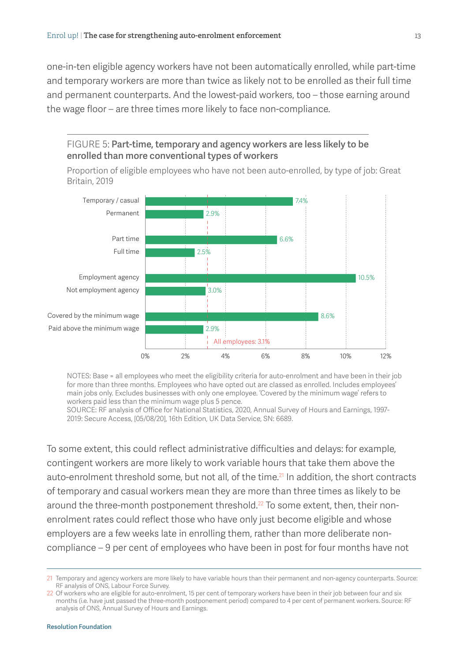one-in-ten eligible agency workers have not been automatically enrolled, while part-time and temporary workers are more than twice as likely not to be enrolled as their full time and permanent counterparts. And the lowest-paid workers, too – those earning around the wage floor – are three times more likely to face non-compliance.



Proportion of eligible employees who have not been auto-enrolled, by type of job: Great

<span id="page-12-0"></span>FIGURE 5: Part-time, temporary and agency workers are less likely to be

NOTES: Base = all employees who meet the eligibility criteria for auto-enrolment and have been in their job for more than three months. Employees who have opted out are classed as enrolled. Includes employees' main jobs only. Excludes businesses with only one employee. 'Covered by the minimum wage' refers to workers paid less than the minimum wage plus 5 pence.

0% 2% 4% 6% 8% 10% 12%

SOURCE: RF analysis of Office for National Statistics, 2020, [Annual Survey of Hours and Earnings, 1997-](http://doi.org/10.5255/UKDA-SN-6689-15) [2019: Secure Access,](http://doi.org/10.5255/UKDA-SN-6689-15) [05/08/20], 16th Edition, UK Data Service, SN: 6689.

To some extent, this could reflect administrative difficulties and delays: for example, contingent workers are more likely to work variable hours that take them above the auto-enrolment threshold some, but not all, of the time.<sup>21</sup> In addition, the short contracts of temporary and casual workers mean they are more than three times as likely to be around the three-month postponement threshold.<sup>22</sup> To some extent, then, their nonenrolment rates could reflect those who have only just become eligible and whose employers are a few weeks late in enrolling them, rather than more deliberate noncompliance – 9 per cent of employees who have been in post for four months have not

<sup>21</sup> Temporary and agency workers are more likely to have variable hours than their permanent and non-agency counterparts. Source: RF analysis of ONS, Labour Force Survey.

<sup>22</sup> Of workers who are eligible for auto-enrolment, 15 per cent of temporary workers have been in their job between four and six months (i.e. have just passed the three-month postponement period) compared to 4 per cent of permanent workers. Source: RF analysis of ONS, Annual Survey of Hours and Earnings.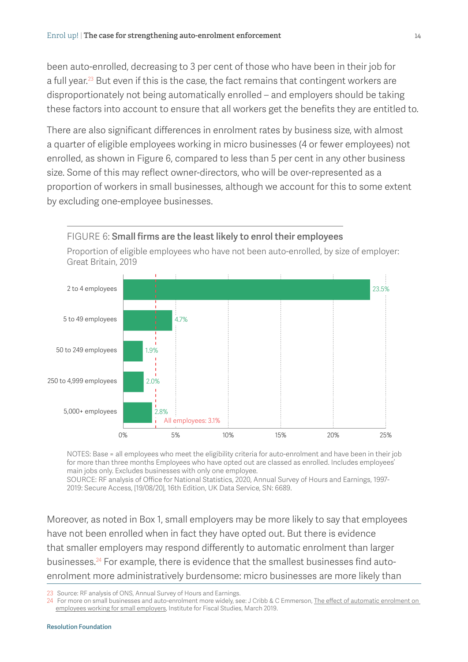been auto-enrolled, decreasing to 3 per cent of those who have been in their job for a full year.<sup>23</sup> But even if this is the case, the fact remains that contingent workers are disproportionately not being automatically enrolled – and employers should be taking these factors into account to ensure that all workers get the benefits they are entitled to.

There are also significant differences in enrolment rates by business size, with almost a quarter of eligible employees working in micro businesses (4 or fewer employees) not enrolled, as shown in [Figure 6](#page-13-0), compared to less than 5 per cent in any other business size. Some of this may reflect owner-directors, who will be over-represented as a proportion of workers in small businesses, although we account for this to some extent by excluding one-employee businesses.



<span id="page-13-0"></span>Proportion of eligible employees who have not been auto-enrolled, by size of employer:

NOTES: Base = all employees who meet the eligibility criteria for auto-enrolment and have been in their job for more than three months Employees who have opted out are classed as enrolled. Includes employees' main jobs only. Excludes businesses with only one employee.

SOURCE: RF analysis of Office for National Statistics, 2020, [Annual Survey of Hours and Earnings, 1997-](http://doi.org/10.5255/UKDA-SN-6689-15) [2019: Secure Access,](http://doi.org/10.5255/UKDA-SN-6689-15) [19/08/20], 16th Edition, UK Data Service, SN: 6689.

Moreover, as noted in [Box 1,](#page-9-0) small employers may be more likely to say that employees have not been enrolled when in fact they have opted out. But there is evidence that smaller employers may respond differently to automatic enrolment than larger businesses.24 For example, there is evidence that the smallest businesses find autoenrolment more administratively burdensome: micro businesses are more likely than

23 Source: RF analysis of ONS, Annual Survey of Hours and Earnings.

24 For more on small businesses and auto-enrolment more widely, see: J Cribb & C Emmerson, [The effect of automatic enrolment on](https://www.ifs.org.uk/publications/14012)  [employees working for small employers](https://www.ifs.org.uk/publications/14012), Institute for Fiscal Studies, March 2019.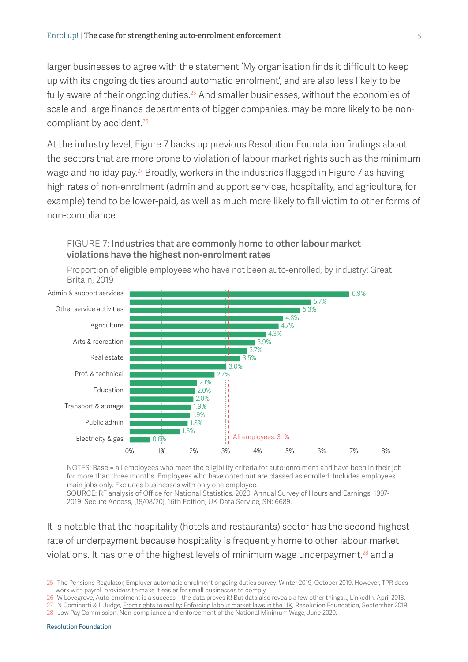larger businesses to agree with the statement 'My organisation finds it difficult to keep up with its ongoing duties around automatic enrolment', and are also less likely to be fully aware of their ongoing duties.<sup>25</sup> And smaller businesses, without the economies of scale and large finance departments of bigger companies, may be more likely to be noncompliant by accident.<sup>26</sup>

At the industry level, [Figure 7](#page-14-0) backs up previous Resolution Foundation findings about the sectors that are more prone to violation of labour market rights such as the minimum wage and holiday pay.<sup>27</sup> Broadly, workers in the industries flagged in [Figure 7](#page-14-0) as having high rates of non-enrolment (admin and support services, hospitality, and agriculture, for example) tend to be lower-paid, as well as much more likely to fall victim to other forms of non-compliance.

<span id="page-14-0"></span>



Proportion of eligible employees who have not been auto-enrolled, by industry: Great Britain, 2019

NOTES: Base = all employees who meet the eligibility criteria for auto-enrolment and have been in their job for more than three months. Employees who have opted out are classed as enrolled. Includes employees' main jobs only. Excludes businesses with only one employee. SOURCE: RF analysis of Office for National Statistics, 2020, [Annual Survey of Hours and Earnings, 1997-](http://doi.org/10.5255/UKDA-SN-6689-15) [2019: Secure Access,](http://doi.org/10.5255/UKDA-SN-6689-15) [19/08/20], 16th Edition, UK Data Service, SN: 6689.

It is notable that the hospitality (hotels and restaurants) sector has the second highest rate of underpayment because hospitality is frequently home to other labour market violations. It has one of the highest levels of minimum wage underpayment, $28$  and a

<sup>25</sup> The Pensions Regulator, [Employer automatic enrolment ongoing duties survey: Winter 2019](https://www.thepensionsregulator.gov.uk/-/media/thepensionsregulator/files/import/pdf/employer-automatic-enrolment-ongoing-duties-survey-winter-2019.ashx), October 2019. However, TPR does work with payroll providers to make it easier for small businesses to comply.

<sup>26</sup> W Lovegrove, Auto-enrolment is a success – the data proves it! But data also reveals a few other things..., LinkedIn, April 2018. 27 N Cominetti & L Judge, [From rights to reality: Enforcing labour market laws in the UK](https://www.resolutionfoundation.org/publications/from-rights-to-reality/), Resolution Foundation, September 2019.

<sup>28</sup> Low Pay Commission, [Non-compliance and enforcement of the National Minimum Wage](https://www.gov.uk/government/publications/non-compliance-and-enforcement-of-the-national-minimum-wage), June 2020.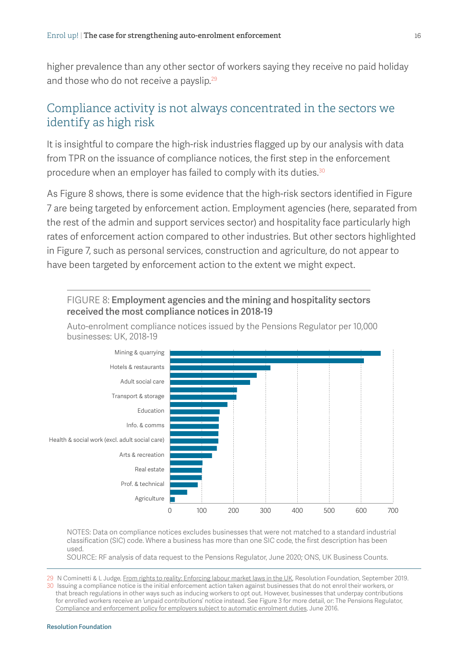higher prevalence than any other sector of workers saying they receive no paid holiday and those who do not receive a payslip.<sup>29</sup>

# Compliance activity is not always concentrated in the sectors we identify as high risk

It is insightful to compare the high-risk industries flagged up by our analysis with data from TPR on the issuance of compliance notices, the first step in the enforcement procedure when an employer has failed to comply with its duties.<sup>30</sup>

As [Figure 8](#page-15-0) shows, there is some evidence that the high-risk sectors identified in [Figure](#page-14-0)  [7](#page-14-0) are being targeted by enforcement action. Employment agencies (here, separated from the rest of the admin and support services sector) and hospitality face particularly high rates of enforcement action compared to other industries. But other sectors highlighted in [Figure 7](#page-14-0), such as personal services, construction and agriculture, do not appear to have been targeted by enforcement action to the extent we might expect.

<span id="page-15-0"></span>

NOTES: Data on compliance notices excludes businesses that were not matched to a standard industrial classification (SIC) code. Where a business has more than one SIC code, the first description has been used.

SOURCE: RF analysis of data request to the Pensions Regulator, June 2020; ONS, UK Business Counts.

29 N Cominetti & L Judge, [From rights to reality: Enforcing labour market laws in the UK](https://www.resolutionfoundation.org/publications/from-rights-to-reality/), Resolution Foundation, September 2019. 30 Issuing a compliance notice is the initial enforcement action taken against businesses that do not enrol their workers, or that breach regulations in other ways such as inducing workers to opt out. However, businesses that underpay contributions for enrolled workers receive an 'unpaid contributions' notice instead. See [Figure](#page-7-0) 3 for more detail, or: The Pensions Regulator, [Compliance and enforcement policy for employers subject to automatic enrolment duties](https://www.thepensionsregulator.gov.uk/en/document-library/strategy-and-policy), June 2016.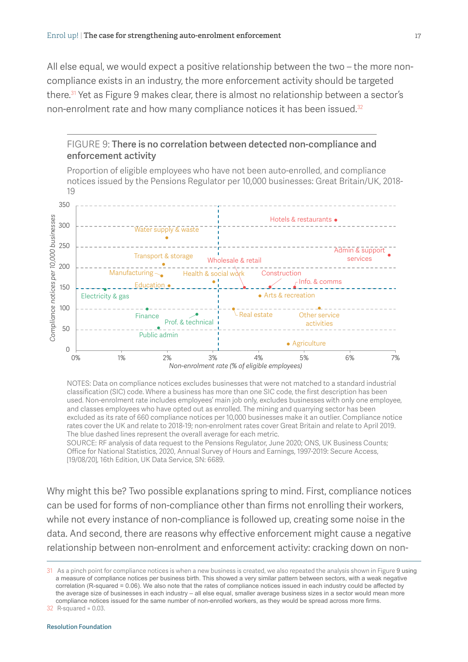All else equal, we would expect a positive relationship between the two – the more noncompliance exists in an industry, the more enforcement activity should be targeted there.<sup>31</sup> Yet as [Figure 9](#page-16-0) makes clear, there is almost no relationship between a sector's non-enrolment rate and how many compliance notices it has been issued.<sup>32</sup>

<span id="page-16-0"></span>

NOTES: Data on compliance notices excludes businesses that were not matched to a standard industrial classification (SIC) code. Where a business has more than one SIC code, the first description has been used. Non-enrolment rate includes employees' main job only, excludes businesses with only one employee, and classes employees who have opted out as enrolled. The mining and quarrying sector has been excluded as its rate of 660 compliance notices per 10,000 businesses make it an outlier. Compliance notice rates cover the UK and relate to 2018-19; non-enrolment rates cover Great Britain and relate to April 2019. The blue dashed lines represent the overall average for each metric.

SOURCE: RF analysis of data request to the Pensions Regulator, June 2020; ONS, UK Business Counts; Office for National Statistics, 2020, [Annual Survey of Hours and Earnings, 1997-2019: Secure Access,](http://doi.org/10.5255/UKDA-SN-6689-15) [19/08/20], 16th Edition, UK Data Service, SN: 6689.

Why might this be? Two possible explanations spring to mind. First, compliance notices can be used for forms of non-compliance other than firms not enrolling their workers, while not every instance of non-compliance is followed up, creating some noise in the data. And second, there are reasons why effective enforcement might cause a negative relationship between non-enrolment and enforcement activity: cracking down on non-

31 As a pinch point for compliance notices is when a new business is created, we also repeated the analysis shown in [Figure](#page-16-0) 9 using a measure of compliance notices per business birth. This showed a very similar pattern between sectors, with a weak negative correlation (R-squared = 0.06). We also note that the rates of compliance notices issued in each industry could be affected by the average size of businesses in each industry – all else equal, smaller average business sizes in a sector would mean more compliance notices issued for the same number of non-enrolled workers, as they would be spread across more firms.

32 R-squared = 0.03.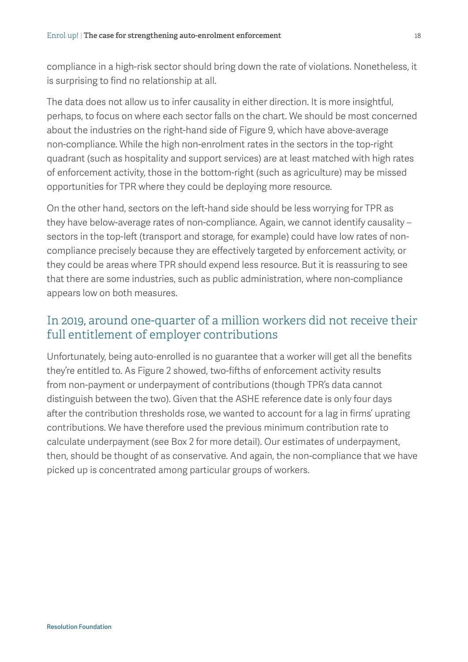compliance in a high-risk sector should bring down the rate of violations. Nonetheless, it is surprising to find no relationship at all.

The data does not allow us to infer causality in either direction. It is more insightful, perhaps, to focus on where each sector falls on the chart. We should be most concerned about the industries on the right-hand side of [Figure 9,](#page-16-0) which have above-average non-compliance. While the high non-enrolment rates in the sectors in the top-right quadrant (such as hospitality and support services) are at least matched with high rates of enforcement activity, those in the bottom-right (such as agriculture) may be missed opportunities for TPR where they could be deploying more resource.

On the other hand, sectors on the left-hand side should be less worrying for TPR as they have below-average rates of non-compliance. Again, we cannot identify causality – sectors in the top-left (transport and storage, for example) could have low rates of noncompliance precisely because they are effectively targeted by enforcement activity, or they could be areas where TPR should expend less resource. But it is reassuring to see that there are some industries, such as public administration, where non-compliance appears low on both measures.

# In 2019, around one-quarter of a million workers did not receive their full entitlement of employer contributions

Unfortunately, being auto-enrolled is no guarantee that a worker will get all the benefits they're entitled to. As [Figure 2](#page-6-0) showed, two-fifths of enforcement activity results from non-payment or underpayment of contributions (though TPR's data cannot distinguish between the two). Given that the ASHE reference date is only four days after the contribution thresholds rose, we wanted to account for a lag in firms' uprating contributions. We have therefore used the previous minimum contribution rate to calculate underpayment (see [Box 2](#page-18-0) for more detail). Our estimates of underpayment, then, should be thought of as conservative. And again, the non-compliance that we have picked up is concentrated among particular groups of workers.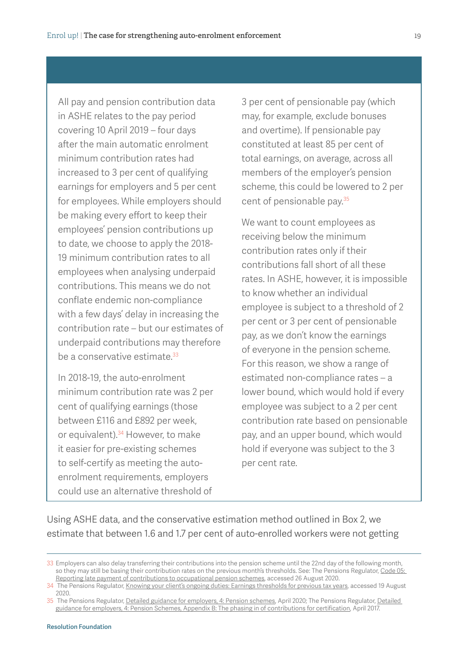<span id="page-18-0"></span>All pay and pension contribution data in ASHE relates to the pay period covering 10 April 2019 – four days after the main automatic enrolment minimum contribution rates had increased to 3 per cent of qualifying earnings for employers and 5 per cent for employees. While employers should be making every effort to keep their employees' pension contributions up to date, we choose to apply the 2018- 19 minimum contribution rates to all employees when analysing underpaid contributions. This means we do not conflate endemic non-compliance with a few days' delay in increasing the contribution rate – but our estimates of underpaid contributions may therefore be a conservative estimate.<sup>33</sup>

In 2018-19, the auto-enrolment minimum contribution rate was 2 per cent of qualifying earnings (those between £116 and £892 per week, or equivalent).<sup>34</sup> However, to make it easier for pre-existing schemes to self-certify as meeting the autoenrolment requirements, employers could use an alternative threshold of

3 per cent of pensionable pay (which may, for example, exclude bonuses and overtime). If pensionable pay constituted at least 85 per cent of total earnings, on average, across all members of the employer's pension scheme, this could be lowered to 2 per cent of pensionable pay.35

We want to count employees as receiving below the minimum contribution rates only if their contributions fall short of all these rates. In ASHE, however, it is impossible to know whether an individual employee is subject to a threshold of 2 per cent or 3 per cent of pensionable pay, as we don't know the earnings of everyone in the pension scheme. For this reason, we show a range of estimated non-compliance rates – a lower bound, which would hold if every employee was subject to a 2 per cent contribution rate based on pensionable pay, and an upper bound, which would hold if everyone was subject to the 3 per cent rate.

Using ASHE data, and the conservative estimation method outlined in [Box 2](#page-18-0), we estimate that between 1.6 and 1.7 per cent of auto-enrolled workers were not getting

<sup>33</sup> Employers can also delay transferring their contributions into the pension scheme until the 22nd day of the following month, so they may still be basing their contribution rates on the previous month's thresholds. See: The Pensions Regulator, Code 05: Reporting late payment of contributions to occupational pension schemes, accessed 26 August 2020.

<sup>34</sup> The Pensions Regulator, [Knowing your client's ongoing duties: Earnings thresholds for previous tax years](https://www.thepensionsregulator.gov.uk/en/business-advisers/automatic-enrolment-guide-for-business-advisers/9-knowing-your-clients-ongoing-duties/automatic-enrolment-earnings-threshold), accessed 19 August 2020.

<sup>35</sup> The Pensions Regulator, [Detailed guidance for employers, 4: Pension schemes,](https://www.thepensionsregulator.gov.uk/en/document-library/automatic-enrolment-detailed-guidance) April 2020; The Pensions Regulator, Detailed [guidance for employers, 4: Pension Schemes, Appendix B: The phasing in of contributions for certification](https://www.thepensionsregulator.gov.uk/en/document-library/automatic-enrolment-detailed-guidance), April 2017.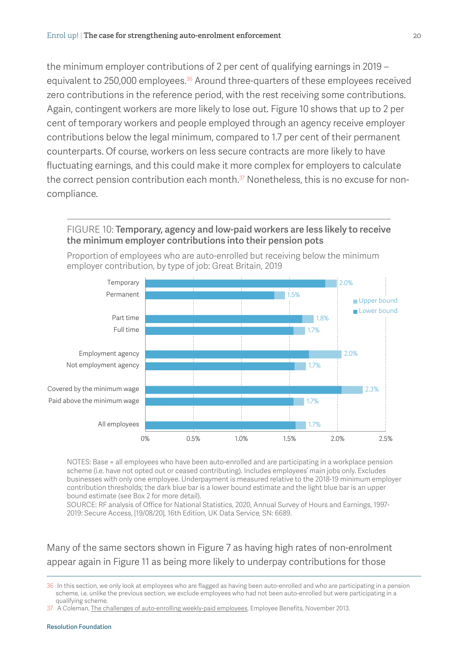the minimum employer contributions of 2 per cent of qualifying earnings in 2019 – equivalent to 250,000 employees.<sup>36</sup> Around three-quarters of these employees received zero contributions in the reference period, with the rest receiving some contributions. Again, contingent workers are more likely to lose out. [Figure 10](#page-19-0) shows that up to 2 per cent of temporary workers and people employed through an agency receive employer contributions below the legal minimum, compared to 1.7 per cent of their permanent counterparts. Of course, workers on less secure contracts are more likely to have fluctuating earnings, and this could make it more complex for employers to calculate the correct pension contribution each month.<sup>37</sup> Nonetheless, this is no excuse for noncompliance.

#### <span id="page-19-0"></span>FIGURE 10: Temporary, agency and low-paid workers are less likely to receive the minimum employer contributions into their pension pots



Proportion of employees who are auto-enrolled but receiving below the minimum employer contribution, by type of job: Great Britain, 2019

NOTES: Base = all employees who have been auto-enrolled and are participating in a workplace pension scheme (i.e. have not opted out or ceased contributing). Includes employees' main jobs only. Excludes businesses with only one employee. Underpayment is measured relative to the 2018-19 minimum employer contribution thresholds; the dark blue bar is a lower bound estimate and the light blue bar is an upper bound estimate (see [Box 2](#page-18-0) for more detail).

SOURCE: RF analysis of Office for National Statistics, 2020, [Annual Survey of Hours and Earnings, 1997-](http://doi.org/10.5255/UKDA-SN-6689-15) [2019: Secure Access,](http://doi.org/10.5255/UKDA-SN-6689-15) [19/08/20], 16th Edition, UK Data Service, SN: 6689.

#### Many of the same sectors shown in [Figure 7](#page-14-0) as having high rates of non-enrolment appear again in [Figure 11](#page-20-0) as being more likely to underpay contributions for those

36 In this section, we only look at employees who are flagged as having been auto-enrolled and who are participating in a pension scheme, i.e. unlike the previous section, we exclude employees who had not been auto-enrolled but were participating in a qualifying scheme.

37 A Coleman, [The challenges of auto-enrolling weekly-paid employees,](https://employeebenefits.co.uk/issues/november-2013/the-challenges-of-auto-enrolling-weekly-paid-employees/) Employee Benefits, November 2013.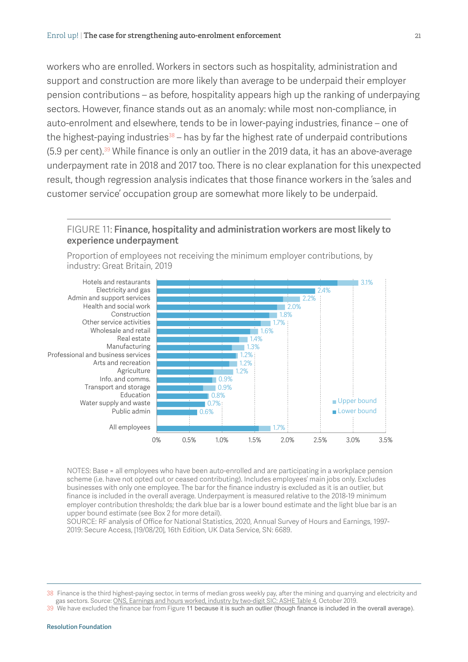workers who are enrolled. Workers in sectors such as hospitality, administration and support and construction are more likely than average to be underpaid their employer pension contributions – as before, hospitality appears high up the ranking of underpaying sectors. However, finance stands out as an anomaly: while most non-compliance, in auto-enrolment and elsewhere, tends to be in lower-paying industries, finance – one of the highest-paying industries $38 -$  has by far the highest rate of underpaid contributions (5.9 per cent).39 While finance is only an outlier in the 2019 data, it has an above-average underpayment rate in 2018 and 2017 too. There is no clear explanation for this unexpected result, though regression analysis indicates that those finance workers in the 'sales and customer service' occupation group are somewhat more likely to be underpaid.

#### <span id="page-20-0"></span>FIGURE 11: Finance, hospitality and administration workers are most likely to experience underpayment



Proportion of employees not receiving the minimum employer contributions, by industry: Great Britain, 2019

NOTES: Base = all employees who have been auto-enrolled and are participating in a workplace pension scheme (i.e. have not opted out or ceased contributing). Includes employees' main jobs only. Excludes businesses with only one employee. The bar for the finance industry is excluded as it is an outlier, but finance is included in the overall average. Underpayment is measured relative to the 2018-19 minimum employer contribution thresholds; the dark blue bar is a lower bound estimate and the light blue bar is an upper bound estimate (see [Box 2](#page-18-0) for more detail).

SOURCE: RF analysis of Office for National Statistics, 2020, [Annual Survey of Hours and Earnings, 1997-](http://doi.org/10.5255/UKDA-SN-6689-15) [2019: Secure Access,](http://doi.org/10.5255/UKDA-SN-6689-15) [19/08/20], 16th Edition, UK Data Service, SN: 6689.

<sup>38</sup> Finance is the third highest-paying sector, in terms of median gross weekly pay, after the mining and quarrying and electricity and gas sectors. Source: [ONS, Earnings and hours worked, industry by two-digit SIC: ASHE Table 4](https://www.ons.gov.uk/employmentandlabourmarket/peopleinwork/earningsandworkinghours/datasets/industry2digitsicashetable4), October 2019.

<sup>39</sup> We have excluded the finance bar from [Figure](#page-20-0) 11 because it is such an outlier (though finance is included in the overall average).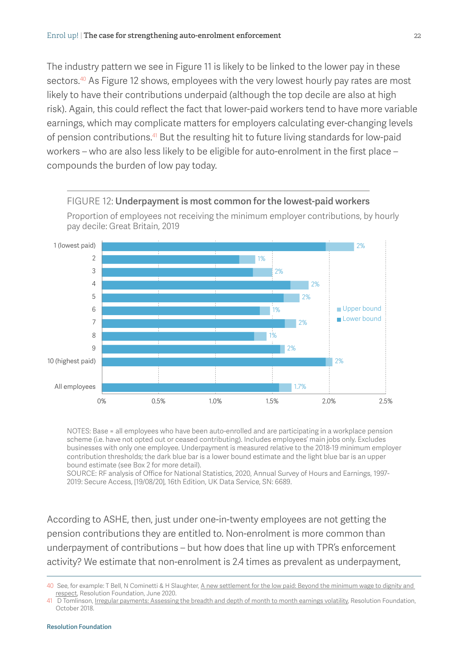The industry pattern we see in [Figure 11](#page-20-0) is likely to be linked to the lower pay in these sectors.<sup>40</sup> As [Figure 12](#page-21-0) shows, employees with the very lowest hourly pay rates are most likely to have their contributions underpaid (although the top decile are also at high risk). Again, this could reflect the fact that lower-paid workers tend to have more variable earnings, which may complicate matters for employers calculating ever-changing levels of pension contributions.<sup>41</sup> But the resulting hit to future living standards for low-paid workers – who are also less likely to be eligible for auto-enrolment in the first place – compounds the burden of low pay today.



<span id="page-21-0"></span>FIGURE 12: Underpayment is most common for the lowest-paid workers

Proportion of employees not receiving the minimum employer contributions, by hourly

NOTES: Base = all employees who have been auto-enrolled and are participating in a workplace pension scheme (i.e. have not opted out or ceased contributing). Includes employees' main jobs only. Excludes businesses with only one employee. Underpayment is measured relative to the 2018-19 minimum employer contribution thresholds; the dark blue bar is a lower bound estimate and the light blue bar is an upper bound estimate (see [Box 2](#page-18-0) for more detail).

SOURCE: RF analysis of Office for National Statistics, 2020, [Annual Survey of Hours and Earnings, 1997-](http://doi.org/10.5255/UKDA-SN-6689-15) [2019: Secure Access,](http://doi.org/10.5255/UKDA-SN-6689-15) [19/08/20], 16th Edition, UK Data Service, SN: 6689.

According to ASHE, then, just under one-in-twenty employees are not getting the pension contributions they are entitled to. Non-enrolment is more common than underpayment of contributions – but how does that line up with TPR's enforcement activity? We estimate that non-enrolment is 2.4 times as prevalent as underpayment,

<sup>40</sup> See, for example: T Bell, N Cominetti & H Slaughter, A new settlement for the low paid: Beyond the minimum wage to dignity and [respect,](https://www.resolutionfoundation.org/publications/a-new-settlement-for-the-low-paid/) Resolution Foundation, June 2020.

<sup>41</sup> D Tomlinson, [Irregular payments: Assessing the breadth and depth of month to month earnings volatility,](https://www.resolutionfoundation.org/publications/irregular-payments/) Resolution Foundation, October 2018.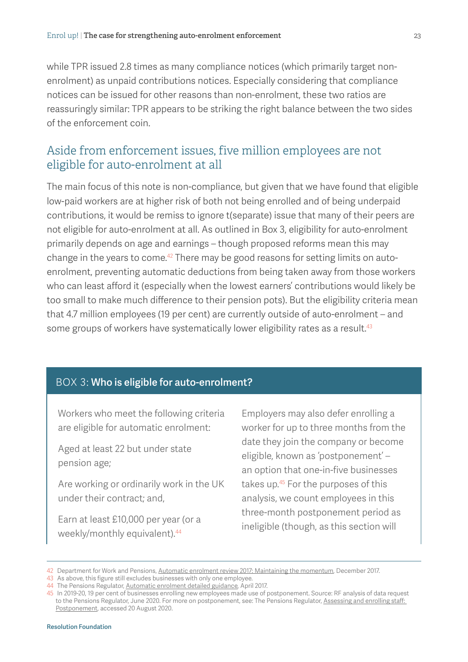while TPR issued 2.8 times as many compliance notices (which primarily target nonenrolment) as unpaid contributions notices. Especially considering that compliance notices can be issued for other reasons than non-enrolment, these two ratios are reassuringly similar: TPR appears to be striking the right balance between the two sides of the enforcement coin.

# Aside from enforcement issues, five million employees are not eligible for auto-enrolment at all

The main focus of this note is non-compliance, but given that we have found that eligible low-paid workers are at higher risk of both not being enrolled and of being underpaid contributions, it would be remiss to ignore t(separate) issue that many of their peers are not eligible for auto-enrolment at all. As outlined in [Box 3](#page-22-0), eligibility for auto-enrolment primarily depends on age and earnings – though proposed reforms mean this may change in the years to come.<sup>42</sup> There may be good reasons for setting limits on autoenrolment, preventing automatic deductions from being taken away from those workers who can least afford it (especially when the lowest earners' contributions would likely be too small to make much difference to their pension pots). But the eligibility criteria mean that 4.7 million employees (19 per cent) are currently outside of auto-enrolment – and some groups of workers have systematically lower eligibility rates as a result.<sup>43</sup>

#### <span id="page-22-0"></span>BOX 3: Who is eligible for auto-enrolment?

Workers who meet the following criteria are eligible for automatic enrolment:

Aged at least 22 but under state pension age;

Are working or ordinarily work in the UK under their contract; and,

Earn at least £10,000 per year (or a weekly/monthly equivalent).<sup>44</sup>

Employers may also defer enrolling a worker for up to three months from the date they join the company or become eligible, known as 'postponement' – an option that one-in-five businesses takes up.45 For the purposes of this analysis, we count employees in this three-month postponement period as ineligible (though, as this section will

<sup>42</sup> Department for Work and Pensions, [Automatic enrolment review 2017: Maintaining the momentum](https://www.gov.uk/government/publications/automatic-enrolment-review-2017-maintaining-the-momentum), December 2017.

<sup>43</sup> As above, this figure still excludes businesses with only one employee.

<sup>44</sup> The Pensions Regulator, [Automatic enrolment detailed guidance](https://www.thepensionsregulator.gov.uk/en/document-library/automatic-enrolment-detailed-guidance), April 2017.

<sup>45</sup> In 2019-20, 19 per cent of businesses enrolling new employees made use of postponement. Source: RF analysis of data request to the Pensions Regulator, June 2020. For more on postponement, see: The Pensions Regulator, [Assessing and enrolling staff:](https://www.thepensionsregulator.gov.uk/en/business-advisers/automatic-enrolment-guide-for-business-advisers/7-assessing-and-enrolling-staff/postponement)  [Postponement](https://www.thepensionsregulator.gov.uk/en/business-advisers/automatic-enrolment-guide-for-business-advisers/7-assessing-and-enrolling-staff/postponement), accessed 20 August 2020.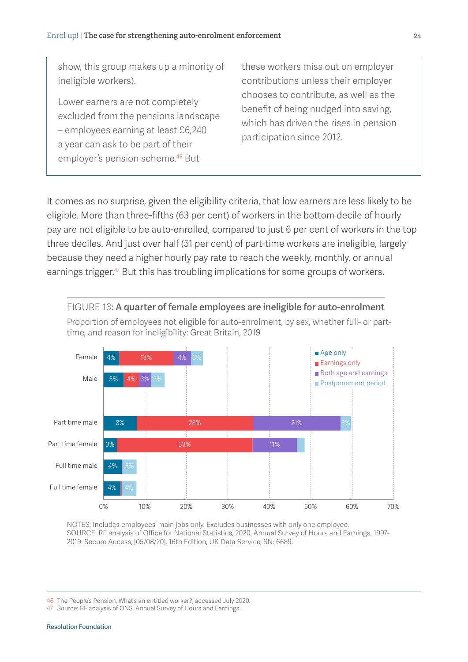show, this group makes up a minority of ineligible workers).

Lower earners are not completely excluded from the pensions landscape – employees earning at least £6,240 a year can ask to be part of their employer's pension scheme.46 But

these workers miss out on employer contributions unless their employer chooses to contribute, as well as the benefit of being nudged into saving, which has driven the rises in pension participation since 2012.

It comes as no surprise, given the eligibility criteria, that low earners are less likely to be eligible. More than three-fifths (63 per cent) of workers in the bottom decile of hourly pay are not eligible to be auto-enrolled, compared to just 6 per cent of workers in the top three deciles. And just over half (51 per cent) of part-time workers are ineligible, largely because they need a higher hourly pay rate to reach the weekly, monthly, or annual earnings trigger.<sup>47</sup> But this has troubling implications for some groups of workers.

<span id="page-23-0"></span>

NOTES: Includes employees' main jobs only. Excludes businesses with only one employee. SOURCE: RF analysis of Office for National Statistics, 2020, [Annual Survey of Hours and Earnings, 1997-](http://doi.org/10.5255/UKDA-SN-6689-15) [2019: Secure Access,](http://doi.org/10.5255/UKDA-SN-6689-15) [05/08/20], 16th Edition, UK Data Service, SN: 6689.

46 The People's Pension, [What's an entitled worker?,](https://thepeoplespension.co.uk/help/knowledgebase/what-is-an-entitled-worker/) accessed July 2020.

<sup>47</sup> Source: RF analysis of ONS, Annual Survey of Hours and Earnings.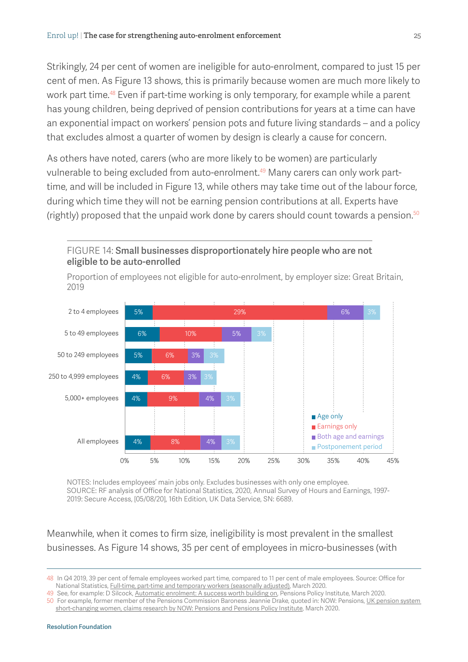eligible to be auto-enrolled

Strikingly, 24 per cent of women are ineligible for auto-enrolment, compared to just 15 per cent of men. As [Figure 13](#page-23-0) shows, this is primarily because women are much more likely to work part time.<sup>48</sup> Even if part-time working is only temporary, for example while a parent has young children, being deprived of pension contributions for years at a time can have an exponential impact on workers' pension pots and future living standards – and a policy that excludes almost a quarter of women by design is clearly a cause for concern.

As others have noted, carers (who are more likely to be women) are particularly vulnerable to being excluded from auto-enrolment.<sup>49</sup> Many carers can only work parttime, and will be included in [Figure 13,](#page-23-0) while others may take time out of the labour force, during which time they will not be earning pension contributions at all. Experts have (rightly) proposed that the unpaid work done by carers should count towards a pension. $50$ 



Proportion of employees not eligible for auto-enrolment, by employer size: Great Britain,

<span id="page-24-0"></span>FIGURE 14: Small businesses disproportionately hire people who are not

NOTES: Includes employees' main jobs only. Excludes businesses with only one employee. SOURCE: RF analysis of Office for National Statistics, 2020, [Annual Survey of Hours and Earnings, 1997-](http://doi.org/10.5255/UKDA-SN-6689-15) [2019: Secure Access,](http://doi.org/10.5255/UKDA-SN-6689-15) [05/08/20], 16th Edition, UK Data Service, SN: 6689.

Meanwhile, when it comes to firm size, ineligibility is most prevalent in the smallest businesses. As [Figure 14](#page-24-0) shows, 35 per cent of employees in micro-businesses (with

49 See, for example: D Silcock, [Automatic enrolment: A success worth building on,](https://www.pensionspolicyinstitute.org.uk/research/research-reports/2020/2020-03-05-briefing-note-117-automatic-enrolment-day-a-success-worth-building-on/) Pensions Policy Institute, March 2020.

50 For example, former member of the Pensions Commission Baroness Jeannie Drake, quoted in: NOW: Pensions, [UK pension system](https://www.nowpensions.com/press-release/uk-short-changing-women/)  [short-changing women, claims research by NOW: Pensions and Pensions Policy Institute](https://www.nowpensions.com/press-release/uk-short-changing-women/), March 2020.

<sup>48</sup> In Q4 2019, 39 per cent of female employees worked part time, compared to 11 per cent of male employees. Source: Office for National Statistics, [Full-time, part-time and temporary workers \(seasonally adjusted\),](https://www.ons.gov.uk/employmentandlabourmarket/peopleinwork/employmentandemployeetypes/datasets/fulltimeparttimeandtemporaryworkersseasonallyadjustedemp01sa) March 2020.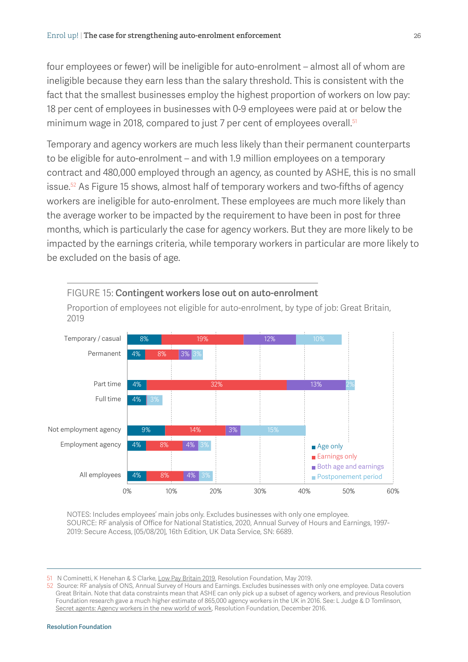four employees or fewer) will be ineligible for auto-enrolment – almost all of whom are ineligible because they earn less than the salary threshold. This is consistent with the fact that the smallest businesses employ the highest proportion of workers on low pay: 18 per cent of employees in businesses with 0-9 employees were paid at or below the minimum wage in 2018, compared to just 7 per cent of employees overall.<sup>51</sup>

Temporary and agency workers are much less likely than their permanent counterparts to be eligible for auto-enrolment – and with 1.9 million employees on a temporary contract and 480,000 employed through an agency, as counted by ASHE, this is no small issue.<sup>52</sup> As [Figure 15](#page-25-0) shows, almost half of temporary workers and two-fifths of agency workers are ineligible for auto-enrolment. These employees are much more likely than the average worker to be impacted by the requirement to have been in post for three months, which is particularly the case for agency workers. But they are more likely to be impacted by the earnings criteria, while temporary workers in particular are more likely to be excluded on the basis of age.



Proportion of employees not eligible for auto-enrolment, by type of job: Great Britain, 2019

<span id="page-25-0"></span>FIGURE 15: Contingent workers lose out on auto-enrolment

NOTES: Includes employees' main jobs only. Excludes businesses with only one employee. SOURCE: RF analysis of Office for National Statistics, 2020, [Annual Survey of Hours and Earnings, 1997-](http://doi.org/10.5255/UKDA-SN-6689-15) [2019: Secure Access,](http://doi.org/10.5255/UKDA-SN-6689-15) [05/08/20], 16th Edition, UK Data Service, SN: 6689.

51 N Cominetti, K Henehan & S Clarke, [Low Pay Britain 2019,](https://www.resolutionfoundation.org/publications/low-pay-britain-2019/) Resolution Foundation, May 2019.

52 Source: RF analysis of ONS, Annual Survey of Hours and Earnings. Excludes businesses with only one employee. Data covers Great Britain. Note that data constraints mean that ASHE can only pick up a subset of agency workers, and previous Resolution Foundation research gave a much higher estimate of 865,000 agency workers in the UK in 2016. See: L Judge & D Tomlinson, [Secret agents: Agency workers in the new world of work](https://www.resolutionfoundation.org/publications/secret-agents-agency-workers-in-the-new-world-of-work/), Resolution Foundation, December 2016.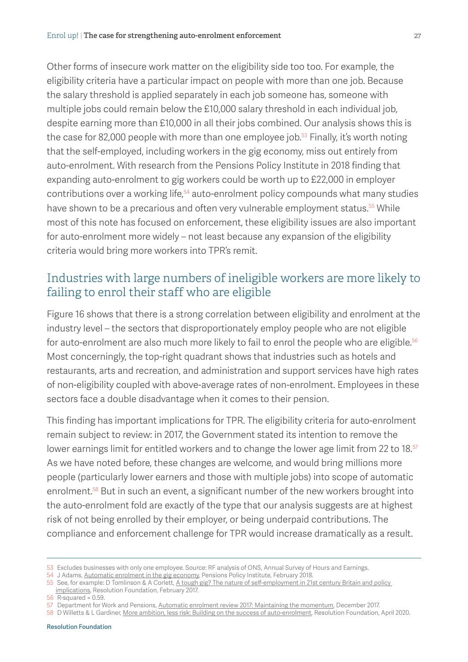Other forms of insecure work matter on the eligibility side too too. For example, the eligibility criteria have a particular impact on people with more than one job. Because the salary threshold is applied separately in each job someone has, someone with multiple jobs could remain below the £10,000 salary threshold in each individual job, despite earning more than £10,000 in all their jobs combined. Our analysis shows this is the case for 82,000 people with more than one employee job.<sup>53</sup> Finally, it's worth noting that the self-employed, including workers in the gig economy, miss out entirely from auto-enrolment. With research from the Pensions Policy Institute in 2018 finding that expanding auto-enrolment to gig workers could be worth up to £22,000 in employer contributions over a working life,<sup>54</sup> auto-enrolment policy compounds what many studies have shown to be a precarious and often very vulnerable employment status.<sup>55</sup> While most of this note has focused on enforcement, these eligibility issues are also important for auto-enrolment more widely – not least because any expansion of the eligibility criteria would bring more workers into TPR's remit.

# Industries with large numbers of ineligible workers are more likely to failing to enrol their staff who are eligible

[Figure 16](#page-27-0) shows that there is a strong correlation between eligibility and enrolment at the industry level – the sectors that disproportionately employ people who are not eligible for auto-enrolment are also much more likely to fail to enrol the people who are eligible.<sup>56</sup> Most concerningly, the top-right quadrant shows that industries such as hotels and restaurants, arts and recreation, and administration and support services have high rates of non-eligibility coupled with above-average rates of non-enrolment. Employees in these sectors face a double disadvantage when it comes to their pension.

This finding has important implications for TPR. The eligibility criteria for auto-enrolment remain subject to review: in 2017, the Government stated its intention to remove the lower earnings limit for entitled workers and to change the lower age limit from 22 to 18.<sup>57</sup> As we have noted before, these changes are welcome, and would bring millions more people (particularly lower earners and those with multiple jobs) into scope of automatic enrolment.<sup>58</sup> But in such an event, a significant number of the new workers brought into the auto-enrolment fold are exactly of the type that our analysis suggests are at highest risk of not being enrolled by their employer, or being underpaid contributions. The compliance and enforcement challenge for TPR would increase dramatically as a result.

<sup>53</sup> Excludes businesses with only one employee. Source: RF analysis of ONS, Annual Survey of Hours and Earnings.

<sup>54</sup> J Adams, [Automatic enrolment in the gig economy](https://www.pensionspolicyinstitute.org.uk/research/research-reports/2018/2018-02-21-automatic-enrolment-in-the-gig-economy-modelling-for-zurich/), Pensions Policy Institute, February 2018.

<sup>55</sup> See, for example: D Tomlinson & A Corlett, [A tough gig? The nature of self-employment in 21st century Britain and policy](https://www.resolutionfoundation.org/publications/a-tough-gig-the-nature-of-self-employment-in-21st-century-britain-and-policy-implications/)  [implications,](https://www.resolutionfoundation.org/publications/a-tough-gig-the-nature-of-self-employment-in-21st-century-britain-and-policy-implications/) Resolution Foundation, February 2017.

<sup>56</sup> R-squared = 0.59.

<sup>57</sup> Department for Work and Pensions, [Automatic enrolment review 2017: Maintaining the momentum](https://www.gov.uk/government/publications/automatic-enrolment-review-2017-maintaining-the-momentum), December 2017.

<sup>58</sup> D Willetts & L Gardiner, [More ambition, less risk: Building on the success of auto-enrolment](https://www.resolutionfoundation.org/comment/more-ambition-less-risk-building-on-the-success-of-auto-enrolment/), Resolution Foundation, April 2020.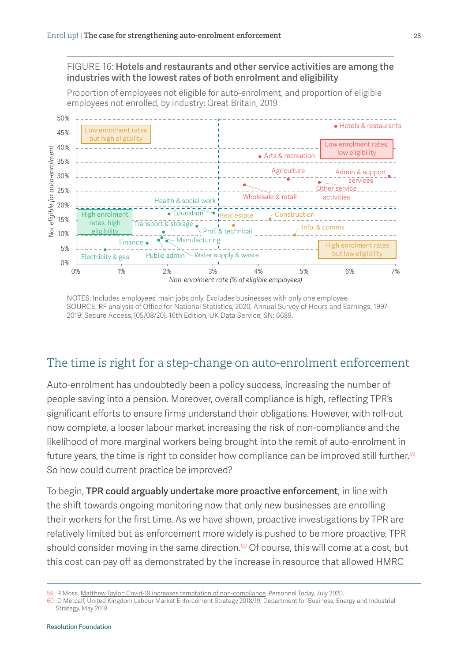<span id="page-27-0"></span>FIGURE 16: Hotels and restaurants and other service activities are among the industries with the lowest rates of both enrolment and eligibility

Proportion of employees not eligible for auto-enrolment, and proportion of eligible employees not enrolled, by industry: Great Britain, 2019



NOTES: Includes employees' main jobs only. Excludes businesses with only one employee. SOURCE: RF analysis of Office for National Statistics, 2020, [Annual Survey of Hours and Earnings, 1997-](http://doi.org/10.5255/UKDA-SN-6689-15) [2019: Secure Access,](http://doi.org/10.5255/UKDA-SN-6689-15) [05/08/20], 16th Edition, UK Data Service, SN: 6689.

# The time is right for a step-change on auto-enrolment enforcement

Auto-enrolment has undoubtedly been a policy success, increasing the number of people saving into a pension. Moreover, overall compliance is high, reflecting TPR's significant efforts to ensure firms understand their obligations. However, with roll-out now complete, a looser labour market increasing the risk of non-compliance and the likelihood of more marginal workers being brought into the remit of auto-enrolment in future years, the time is right to consider how compliance can be improved still further.<sup>59</sup> So how could current practice be improved?

To begin, TPR could arguably undertake more proactive enforcement, in line with the shift towards ongoing monitoring now that only new businesses are enrolling their workers for the first time. As we have shown, proactive investigations by TPR are relatively limited but as enforcement more widely is pushed to be more proactive, TPR should consider moving in the same direction.<sup>60</sup> Of course, this will come at a cost, but this cost can pay off as demonstrated by the increase in resource that allowed HMRC

<sup>59</sup> R Moss, [Matthew Taylor: Covid-19 increases temptation of non-compliance,](https://www.personneltoday.com/hr/employment-non-compliance-matthew-taylor-labour-market-enforcement/) Personnel Today, July 2020.

<sup>60</sup> D Metcalf, [United Kingdom Labour Market Enforcement Strategy 2018/19](https://www.gov.uk/government/publications/labour-market-enforcement-strategy-2018-to-2019), Department for Business, Energy and Industrial Strategy, May 2018.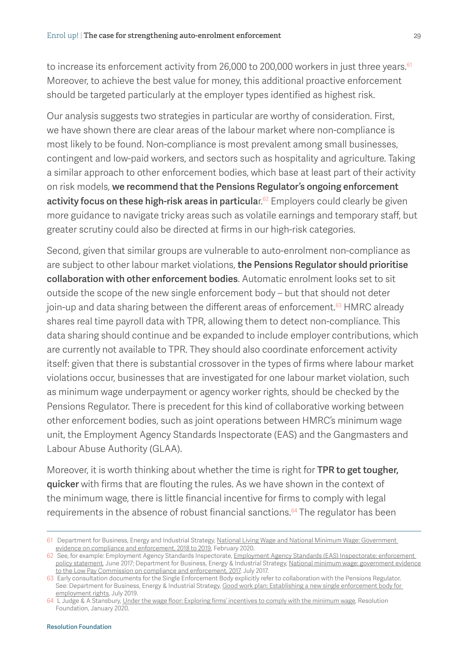to increase its enforcement activity from 26,000 to 200,000 workers in just three years.<sup>61</sup> Moreover, to achieve the best value for money, this additional proactive enforcement should be targeted particularly at the employer types identified as highest risk.

Our analysis suggests two strategies in particular are worthy of consideration. First, we have shown there are clear areas of the labour market where non-compliance is most likely to be found. Non-compliance is most prevalent among small businesses, contingent and low-paid workers, and sectors such as hospitality and agriculture. Taking a similar approach to other enforcement bodies, which base at least part of their activity on risk models, we recommend that the Pensions Regulator's ongoing enforcement activity focus on these high-risk areas in particular.<sup>62</sup> Employers could clearly be given more guidance to navigate tricky areas such as volatile earnings and temporary staff, but greater scrutiny could also be directed at firms in our high-risk categories.

Second, given that similar groups are vulnerable to auto-enrolment non-compliance as are subject to other labour market violations, the Pensions Regulator should prioritise collaboration with other enforcement bodies. Automatic enrolment looks set to sit outside the scope of the new single enforcement body – but that should not deter join-up and data sharing between the different areas of enforcement.<sup>63</sup> HMRC already shares real time payroll data with TPR, allowing them to detect non-compliance. This data sharing should continue and be expanded to include employer contributions, which are currently not available to TPR. They should also coordinate enforcement activity itself: given that there is substantial crossover in the types of firms where labour market violations occur, businesses that are investigated for one labour market violation, such as minimum wage underpayment or agency worker rights, should be checked by the Pensions Regulator. There is precedent for this kind of collaborative working between other enforcement bodies, such as joint operations between HMRC's minimum wage unit, the Employment Agency Standards Inspectorate (EAS) and the Gangmasters and Labour Abuse Authority (GLAA).

Moreover, it is worth thinking about whether the time is right for TPR to get tougher, quicker with firms that are flouting the rules. As we have shown in the context of the minimum wage, there is little financial incentive for firms to comply with legal requirements in the absence of robust financial sanctions.<sup>64</sup> The regulator has been

<sup>61</sup> Department for Business, Energy and Industrial Strategy, [National Living Wage and National Minimum Wage: Government](https://www.gov.uk/government/publications/national-living-wage-and-national-minimum-wage-government-evidence-on-compliance-and-enforcement-2019)  [evidence on compliance and enforcement, 2018 to 2019](https://www.gov.uk/government/publications/national-living-wage-and-national-minimum-wage-government-evidence-on-compliance-and-enforcement-2019), February 2020.

<sup>62</sup> See, for example: Employment Agency Standards Inspectorate, *Employment Agency Standards (EAS) Inspectorate: enforcement* [policy statement,](https://www.gov.uk/government/publications/employment-agency-standards-eas-inspectorate-enforcement-policy-statement) June 2017; Department for Business, Energy & Industrial Strategy, [National minimum wage: government evidence](https://www.gov.uk/government/publications/national-minimum-wage-government-evidence-to-the-low-pay-commission-on-compliance-and-enforcement-2017)  [to the Low Pay Commission on compliance and enforcement, 2017](https://www.gov.uk/government/publications/national-minimum-wage-government-evidence-to-the-low-pay-commission-on-compliance-and-enforcement-2017), July 2017.

<sup>63</sup> Early consultation documents for the Single Enforcement Body explicitly refer to collaboration with the Pensions Regulator. See: Department for Business, Energy & Industrial Strategy, Good work plan: Establishing a new single enforcement body for [employment rights](https://www.gov.uk/government/consultations/good-work-plan-establishing-a-new-single-enforcement-body-for-employment-rights), July 2019.

<sup>64</sup> L Judge & A Stansbury, [Under the wage floor: Exploring firms' incentives to comply with the minimum wage,](https://www.resolutionfoundation.org/publications/under-the-wage-floor/) Resolution Foundation, January 2020.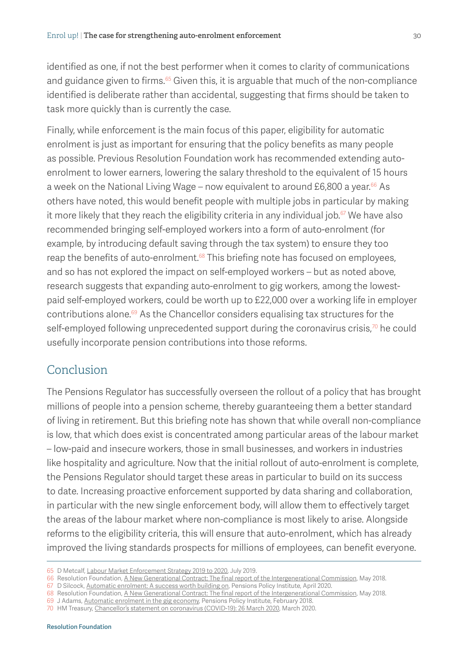identified as one, if not the best performer when it comes to clarity of communications and guidance given to firms. $65$  Given this, it is arguable that much of the non-compliance identified is deliberate rather than accidental, suggesting that firms should be taken to task more quickly than is currently the case.

Finally, while enforcement is the main focus of this paper, eligibility for automatic enrolment is just as important for ensuring that the policy benefits as many people as possible. Previous Resolution Foundation work has recommended extending autoenrolment to lower earners, lowering the salary threshold to the equivalent of 15 hours a week on the National Living Wage – now equivalent to around £6,800 a year. $66$  As others have noted, this would benefit people with multiple jobs in particular by making it more likely that they reach the eligibility criteria in any individual job. $67$  We have also recommended bringing self-employed workers into a form of auto-enrolment (for example, by introducing default saving through the tax system) to ensure they too reap the benefits of auto-enrolment.<sup>68</sup> This briefing note has focused on employees, and so has not explored the impact on self-employed workers – but as noted above, research suggests that expanding auto-enrolment to gig workers, among the lowestpaid self-employed workers, could be worth up to £22,000 over a working life in employer contributions alone.69 As the Chancellor considers equalising tax structures for the self-employed following unprecedented support during the coronavirus crisis,<sup>70</sup> he could usefully incorporate pension contributions into those reforms.

# Conclusion

The Pensions Regulator has successfully overseen the rollout of a policy that has brought millions of people into a pension scheme, thereby guaranteeing them a better standard of living in retirement. But this briefing note has shown that while overall non-compliance is low, that which does exist is concentrated among particular areas of the labour market – low-paid and insecure workers, those in small businesses, and workers in industries like hospitality and agriculture. Now that the initial rollout of auto-enrolment is complete, the Pensions Regulator should target these areas in particular to build on its success to date. Increasing proactive enforcement supported by data sharing and collaboration, in particular with the new single enforcement body, will allow them to effectively target the areas of the labour market where non-compliance is most likely to arise. Alongside reforms to the eligibility criteria, this will ensure that auto-enrolment, which has already improved the living standards prospects for millions of employees, can benefit everyone.

<sup>65</sup> D Metcalf, [Labour Market Enforcement Strategy 2019 to 2020](https://www.gov.uk/government/publications/labour-market-enforcement-strategy-2019-to-2020), July 2019.

<sup>66</sup> Resolution Foundation, [A New Generational Contract: The final report of the Intergenerational Commission,](https://www.resolutionfoundation.org/advanced/a-new-generational-contract/) May 2018.

<sup>67</sup> D Silcock, [Automatic enrolment: A success worth building on,](https://www.pensionspolicyinstitute.org.uk/research/research-reports/2020/2020-03-05-briefing-note-117-automatic-enrolment-day-a-success-worth-building-on/) Pensions Policy Institute, April 2020.

<sup>68</sup> Resolution Foundation, [A New Generational Contract: The final report of the Intergenerational Commission,](https://www.resolutionfoundation.org/advanced/a-new-generational-contract/) May 2018.

<sup>69</sup> J Adams, [Automatic enrolment in the gig economy](https://www.pensionspolicyinstitute.org.uk/research/research-reports/2018/2018-02-21-automatic-enrolment-in-the-gig-economy-modelling-for-zurich/), Pensions Policy Institute, February 2018.

<sup>70</sup> HM Treasury, [Chancellor's statement on coronavirus \(COVID-19\): 26 March 2020](https://www.gov.uk/government/speeches/chancellor-outlines-new-coronavirus-support-measures-for-the-self-employed), March 2020.